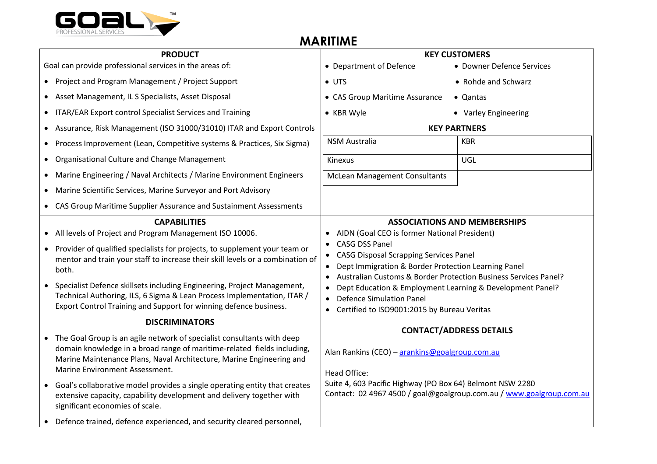

## **MARITIME**

| <b>PRODUCT</b>                                          |                                                                                                                                                                                                                                                             | <b>KEY CUSTOMERS</b>                                                                                                                                                                                                                                                                                                                                                                        |                                                                      |
|---------------------------------------------------------|-------------------------------------------------------------------------------------------------------------------------------------------------------------------------------------------------------------------------------------------------------------|---------------------------------------------------------------------------------------------------------------------------------------------------------------------------------------------------------------------------------------------------------------------------------------------------------------------------------------------------------------------------------------------|----------------------------------------------------------------------|
| Goal can provide professional services in the areas of: |                                                                                                                                                                                                                                                             | • Department of Defence                                                                                                                                                                                                                                                                                                                                                                     | • Downer Defence Services                                            |
|                                                         | • Project and Program Management / Project Support                                                                                                                                                                                                          | $\bullet$ UTS                                                                                                                                                                                                                                                                                                                                                                               | • Rohde and Schwarz                                                  |
|                                                         | Asset Management, IL S Specialists, Asset Disposal                                                                                                                                                                                                          | • CAS Group Maritime Assurance                                                                                                                                                                                                                                                                                                                                                              | • Qantas                                                             |
|                                                         | ITAR/EAR Export control Specialist Services and Training                                                                                                                                                                                                    | • KBR Wyle                                                                                                                                                                                                                                                                                                                                                                                  | • Varley Engineering                                                 |
|                                                         | Assurance, Risk Management (ISO 31000/31010) ITAR and Export Controls                                                                                                                                                                                       | <b>KEY PARTNERS</b>                                                                                                                                                                                                                                                                                                                                                                         |                                                                      |
|                                                         | Process Improvement (Lean, Competitive systems & Practices, Six Sigma)                                                                                                                                                                                      | <b>NSM Australia</b>                                                                                                                                                                                                                                                                                                                                                                        | <b>KBR</b>                                                           |
|                                                         | Organisational Culture and Change Management                                                                                                                                                                                                                | Kinexus                                                                                                                                                                                                                                                                                                                                                                                     | UGL                                                                  |
| $\bullet$                                               | Marine Engineering / Naval Architects / Marine Environment Engineers                                                                                                                                                                                        | <b>McLean Management Consultants</b>                                                                                                                                                                                                                                                                                                                                                        |                                                                      |
| $\bullet$                                               | Marine Scientific Services, Marine Surveyor and Port Advisory                                                                                                                                                                                               |                                                                                                                                                                                                                                                                                                                                                                                             |                                                                      |
|                                                         | CAS Group Maritime Supplier Assurance and Sustainment Assessments                                                                                                                                                                                           |                                                                                                                                                                                                                                                                                                                                                                                             |                                                                      |
|                                                         | <b>CAPABILITIES</b>                                                                                                                                                                                                                                         |                                                                                                                                                                                                                                                                                                                                                                                             | <b>ASSOCIATIONS AND MEMBERSHIPS</b>                                  |
| $\bullet$                                               | All levels of Project and Program Management ISO 10006.                                                                                                                                                                                                     | • AIDN (Goal CEO is former National President)<br>• CASG DSS Panel<br>• CASG Disposal Scrapping Services Panel<br>• Dept Immigration & Border Protection Learning Panel<br>Australian Customs & Border Protection Business Services Panel?<br>Dept Education & Employment Learning & Development Panel?<br><b>Defence Simulation Panel</b><br>• Certified to ISO9001:2015 by Bureau Veritas |                                                                      |
|                                                         | • Provider of qualified specialists for projects, to supplement your team or<br>mentor and train your staff to increase their skill levels or a combination of<br>both.                                                                                     |                                                                                                                                                                                                                                                                                                                                                                                             |                                                                      |
|                                                         | Specialist Defence skillsets including Engineering, Project Management,<br>Technical Authoring, ILS, 6 Sigma & Lean Process Implementation, ITAR /<br>Export Control Training and Support for winning defence business.                                     |                                                                                                                                                                                                                                                                                                                                                                                             |                                                                      |
|                                                         | <b>DISCRIMINATORS</b>                                                                                                                                                                                                                                       |                                                                                                                                                                                                                                                                                                                                                                                             |                                                                      |
|                                                         | The Goal Group is an agile network of specialist consultants with deep<br>domain knowledge in a broad range of maritime-related fields including,<br>Marine Maintenance Plans, Naval Architecture, Marine Engineering and<br>Marine Environment Assessment. | Alan Rankins (CEO) - arankins@goalgroup.com.au<br><b>Head Office:</b>                                                                                                                                                                                                                                                                                                                       | <b>CONTACT/ADDRESS DETAILS</b>                                       |
|                                                         | • Goal's collaborative model provides a single operating entity that creates<br>extensive capacity, capability development and delivery together with<br>significant economies of scale.                                                                    | Suite 4, 603 Pacific Highway (PO Box 64) Belmont NSW 2280                                                                                                                                                                                                                                                                                                                                   | Contact: 02 4967 4500 / goal@goalgroup.com.au / www.goalgroup.com.au |
|                                                         | • Defence trained, defence experienced, and security cleared personnel,                                                                                                                                                                                     |                                                                                                                                                                                                                                                                                                                                                                                             |                                                                      |